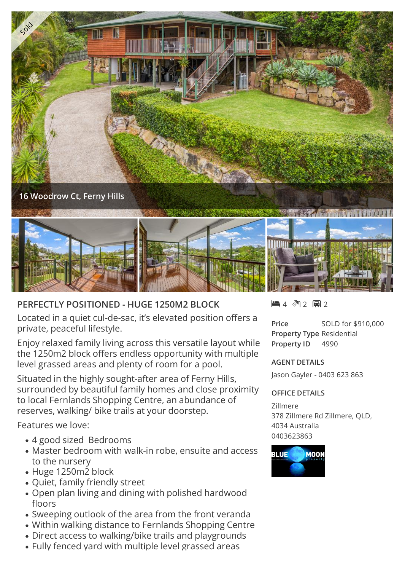

## **PERFECTLY POSITIONED - HUGE 1250M2 BLOCK**

Located in a quiet cul-de-sac, it's elevated position offers a private, peaceful lifestyle.

Enjoy relaxed family living across this versatile layout while the 1250m2 block offers endless opportunity with multiple level grassed areas and plenty of room for a pool.

Situated in the highly sought-after area of Ferny Hills, surrounded by beautiful family homes and close proximity to local Fernlands Shopping Centre, an abundance of reserves, walking/ bike trails at your doorstep.

Features we love:

- 4 good sized Bedrooms
- Master bedroom with walk-in robe, ensuite and access to the nursery
- Huge 1250m2 block
- Quiet, family friendly street
- Open plan living and dining with polished hardwood floors
- Sweeping outlook of the area from the front veranda
- Within walking distance to Fernlands Shopping Centre
- Direct access to walking/bike trails and playgrounds
- Fully fenced yard with multiple level grassed areas

 $-4$   $2$   $-2$ 

**Price** SOLD for \$910,000 **Property Type** Residential **Property ID** 4990

## **AGENT DETAILS**

Jason Gayler - 0403 623 863

## **OFFICE DETAILS**

Zillmere 378 Zillmere Rd Zillmere, QLD, 4034 Australia 0403623863